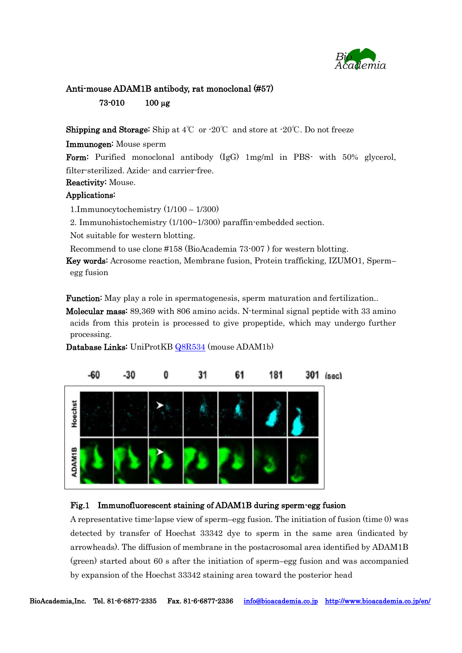

# Anti-mouse ADAM1B antibody, rat monoclonal (#57) 73-010 100 µg

**Shipping and Storage:** Ship at  $4^{\circ}$ C or  $-20^{\circ}$ C and store at  $-20^{\circ}$ C. Do not freeze

## Immunogen: Mouse sperm

Form: Purified monoclonal antibody (IgG) 1mg/ml in PBS- with 50% glycerol, filter-sterilized. Azide- and carrier-free.

# Reactivity: Mouse.

## Applications:

1.Immunocytochemistry (1/100 – 1/300)

2. Immunohistochemistry (1/100~1/300) paraffin-embedded section.

Not suitable for western blotting.

Recommend to use clone #158 (BioAcademia 73-007 ) for western blotting.

Key words: Acrosome reaction, Membrane fusion, Protein trafficking, IZUMO1, Sperm– egg fusion

**Function:** May play a role in spermatogenesis, sperm maturation and fertilization..

Molecular mass: 89,369 with 806 amino acids. N-terminal signal peptide with 33 amino acids from this protein is processed to give propeptide, which may undergo further processing.



Database Links: UniProtKB [Q8R534](http://www.uniprot.org/uniprot/Q8R534) (mouse ADAM1b)

#### Fig.1 Immunofluorescent staining of ADAM1B during sperm-egg fusion

A representative time-lapse view of sperm–egg fusion. The initiation of fusion (time 0) was detected by transfer of Hoechst 33342 dye to sperm in the same area (indicated by arrowheads). The diffusion of membrane in the postacrosomal area identified by ADAM1B (green) started about 60 s after the initiation of sperm–egg fusion and was accompanied by expansion of the Hoechst 33342 staining area toward the posterior head